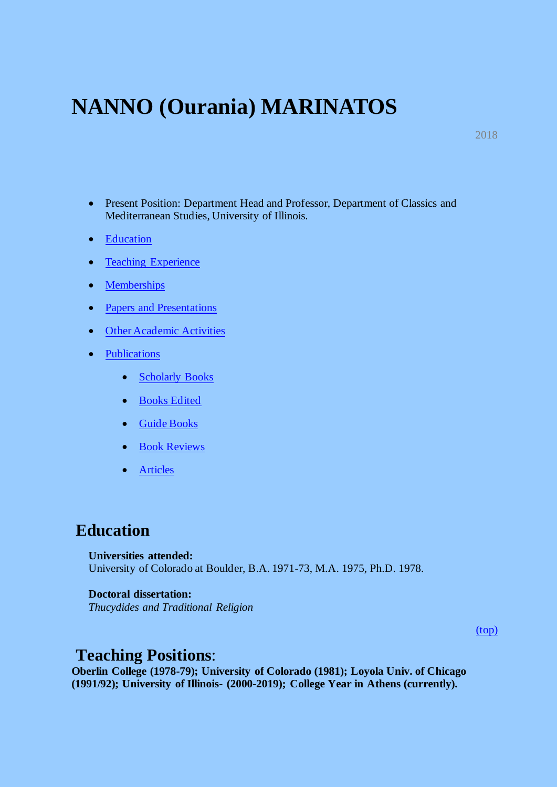# **NANNO (Ourania) MARINATOS**

2018

- Present Position: Department Head and Professor, Department of Classics and Mediterranean Studies, University of Illinois.
- Education
- Teaching Experience
- Memberships
- Papers and Presentations
- Other Academic Activities
- Publications
	- Scholarly Books
	- Books Edited
	- Guide Books
	- Book Reviews
	- Articles

### **Education**

**Universities attended:** University of Colorado at Boulder, B.A. 1971-73, M.A. 1975, Ph.D. 1978.

#### **Doctoral dissertation:**

*Thucydides and Traditional Religion*

(top)

### **Teaching Positions**:

**Oberlin College (1978-79); University of Colorado (1981); Loyola Univ. of Chicago (1991/92); University of Illinois- (2000-2019); College Year in Athens (currently).**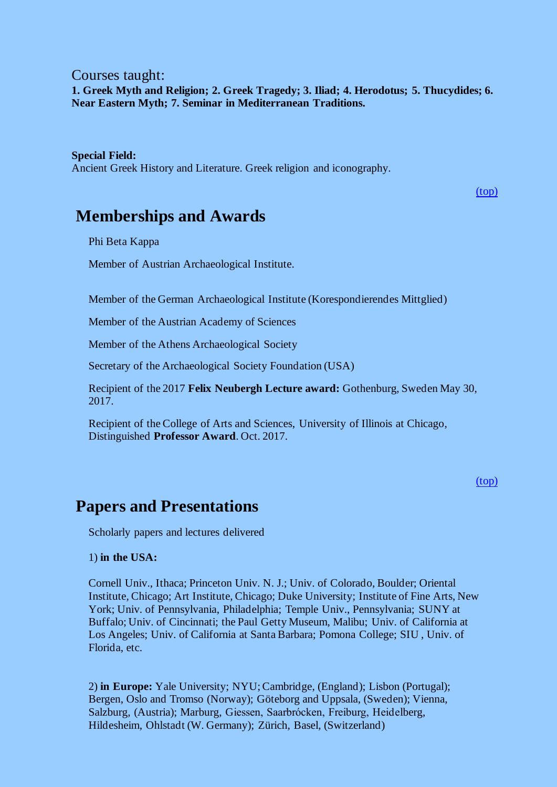### Courses taught: **1. Greek Myth and Religion; 2. Greek Tragedy; 3. Iliad; 4. Herodotus; 5. Thucydides; 6. Near Eastern Myth; 7. Seminar in Mediterranean Traditions.**

#### **Special Field:**

Ancient Greek History and Literature. Greek religion and iconography.

(top)

## **Memberships and Awards**

Phi Beta Kappa

Member of Austrian Archaeological Institute.

Member of the German Archaeological Institute (Korespondierendes Mittglied)

Member of the Austrian Academy of Sciences

Member of the Athens Archaeological Society

Secretary of the Archaeological Society Foundation (USA)

Recipient of the 2017 **Felix Neubergh Lecture award:** Gothenburg, Sweden May 30, 2017.

Recipient of the College of Arts and Sciences, University of Illinois at Chicago, Distinguished **Professor Award**. Oct. 2017.

(top)

### **Papers and Presentations**

Scholarly papers and lectures delivered

#### 1) **in the USA:**

Cornell Univ., Ithaca; Princeton Univ. N. J.; Univ. of Colorado, Boulder; Oriental Institute, Chicago; Art Institute, Chicago; Duke University; Institute of Fine Arts, New York; Univ. of Pennsylvania, Philadelphia; Temple Univ., Pennsylvania; SUNY at Buffalo; Univ. of Cincinnati; the Paul Getty Museum, Malibu; Univ. of California at Los Angeles; Univ. of California at Santa Barbara; Pomona College; SIU , Univ. of Florida, etc.

2) **in Europe:** Yale University; NYU; Cambridge, (England); Lisbon (Portugal); Bergen, Oslo and Tromso (Norway); Göteborg and Uppsala, (Sweden); Vienna, Salzburg, (Austria); Marburg, Giessen, Saarbrόcken, Freiburg, Heidelberg, Hildesheim, Ohlstadt (W. Germany); Zürich, Basel, (Switzerland)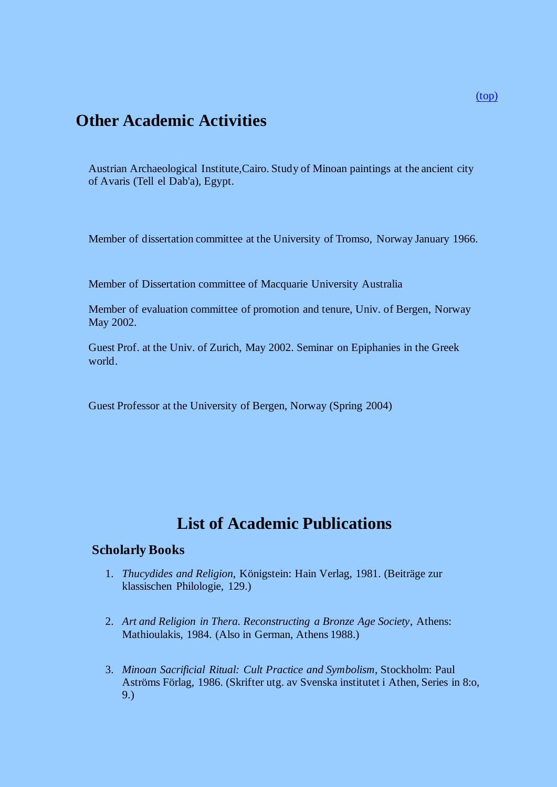# **Other Academic Activities**

Austrian Archaeological Institute,Cairo. Study of Minoan paintings at the ancient city of Avaris (Tell el Dab'a), Egypt.

Member of dissertation committee at the University of Tromso, Norway January 1966.

Member of Dissertation committee of Macquarie University Australia

Member of evaluation committee of promotion and tenure, Univ. of Bergen, Norway May 2002.

Guest Prof. at the Univ. of Zurich, May 2002. Seminar on Epiphanies in the Greek world.

Guest Professor at the University of Bergen, Norway (Spring 2004)

# **List of Academic Publications**

#### **Scholarly Books**

- 1. *Thucydides and Religion*, Königstein: Hain Verlag, 1981. (Beiträge zur klassischen Philologie, 129.)
- 2. *Art and Religion in Thera. Reconstructing a Bronze Age Society*, Athens: Mathioulakis, 1984. (Also in German, Athens 1988.)
- 3. *Minoan Sacrificial Ritual: Cult Practice and Symbolism*, Stockholm: Paul Aströms Förlag, 1986. (Skrifter utg. av Svenska institutet i Athen, Series in 8:o, 9.)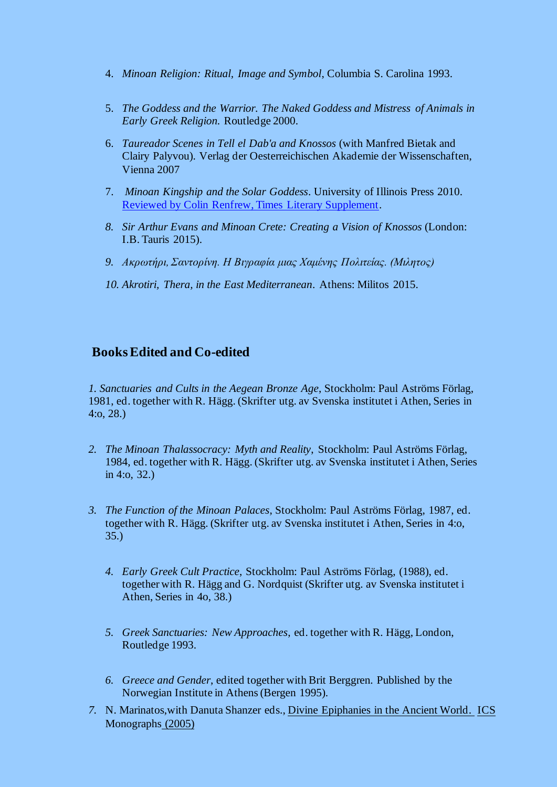- 4. *Minoan Religion: Ritual, Image and Symbol*, Columbia S. Carolina 1993.
- 5. *The Goddess and the Warrior. The Naked Goddess and Mistress of Animals in Early Greek Religion.* Routledge 2000.
- 6. *Taureador Scenes in Tell el Dab'a and Knossos* (with Manfred Bietak and Clairy Palyvou). Verlag der Oesterreichischen Akademie der Wissenschaften, Vienna 2007
- 7. *Minoan Kingship and the Solar Goddess*. University of Illinois Press 2010. Reviewed by Colin Renfrew, Times Literary Supplement.
- *8. Sir Arthur Evans and Minoan Crete: Creating a Vision of Knossos* (London: I.B. Tauris 2015).
- *9. Ακρωτήρι, Σαντορίνη. Η Βιγραφία μιας Χαμένης Πολιτείας. (Μιλητος)*
- *10. Akrotiri, Thera, in the East Mediterranean*. Athens: Militos 2015.

### **Books Edited and Co-edited**

*1. Sanctuaries and Cults in the Aegean Bronze Age*, Stockholm: Paul Aströms Förlag, 1981, ed. together with R. Hägg. (Skrifter utg. av Svenska institutet i Athen, Series in 4:o, 28.)

- *2. The Minoan Thalassocracy: Myth and Reality*, Stockholm: Paul Aströms Förlag, 1984, ed. together with R. Hägg. (Skrifter utg. av Svenska institutet i Athen, Series in 4:o, 32.)
- *3. The Function of the Minoan Palaces*, Stockholm: Paul Aströms Förlag, 1987, ed. together with R. Hägg. (Skrifter utg. av Svenska institutet i Athen, Series in 4:o, 35.)
	- *4. Early Greek Cult Practice*, Stockholm: Paul Aströms Förlag, (1988), ed. together with R. Hägg and G. Nordquist (Skrifter utg. av Svenska institutet i Athen, Series in 4o, 38.)
	- *5. Greek Sanctuaries: New Approaches*, ed. together with R. Hägg, London, Routledge 1993.
	- *6. Greece and Gender*, edited together with Brit Berggren. Published by the Norwegian Institute in Athens (Bergen 1995).
- *7.* N. Marinatos,with Danuta Shanzer eds., Divine Epiphanies in the Ancient World. ICS Monographs (2005)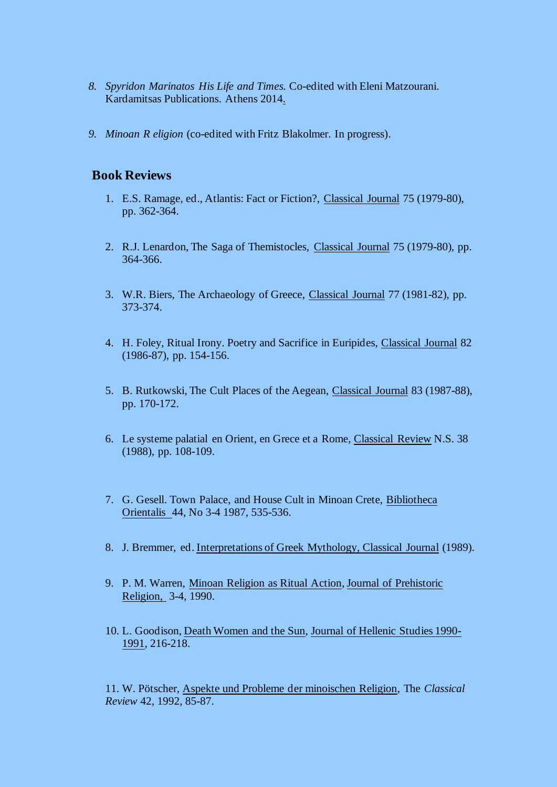- *8. Spyridon Marinatos His Life and Times.* Co-edited with Eleni Matzourani. Kardamitsas Publications. Athens 2014.
- *9. Minoan R eligion* (co-edited with Fritz Blakolmer. In progress).

### **Book Reviews**

- 1. E.S. Ramage, ed., Atlantis: Fact or Fiction?, Classical Journal 75 (1979-80), pp. 362-364.
- 2. R.J. Lenardon, The Saga of Themistocles, Classical Journal 75 (1979-80), pp. 364-366.
- 3. W.R. Biers, The Archaeology of Greece, Classical Journal 77 (1981-82), pp. 373-374.
- 4. H. Foley, Ritual Irony. Poetry and Sacrifice in Euripides, Classical Journal 82 (1986-87), pp. 154-156.
- 5. B. Rutkowski, The Cult Places of the Aegean, Classical Journal 83 (1987-88), pp. 170-172.
- 6. Le systeme palatial en Orient, en Grece et a Rome, Classical Review N.S. 38 (1988), pp. 108-109.
- 7. G. Gesell. Town Palace, and House Cult in Minoan Crete, Bibliotheca Orientalis 44, No 3-4 1987, 535-536.
- 8. J. Bremmer, ed. Interpretations of Greek Mythology, Classical Journal (1989).
- 9. P. M. Warren, Minoan Religion as Ritual Action, Journal of Prehistoric Religion, 3-4, 1990.
- 10. L. Goodison, Death Women and the Sun, Journal of Hellenic Studies 1990- 1991, 216-218.

11. W. Pötscher, Aspekte und Probleme der minoischen Religion, The *Classical Review* 42, 1992, 85-87.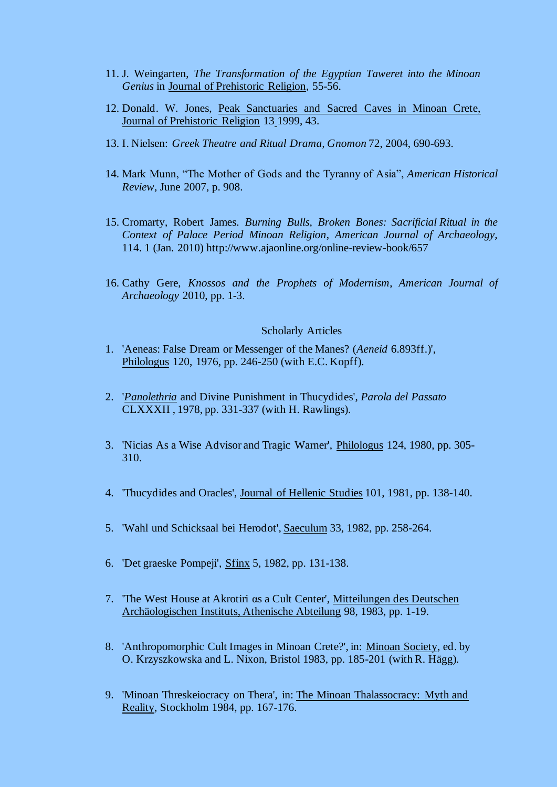- 11. J. Weingarten, *The Transformation of the Egyptian Taweret into the Minoan Genius* in Journal of Prehistoric Religion, 55-56.
- 12. Donald. W. Jones, Peak Sanctuaries and Sacred Caves in Minoan Crete, Journal of Prehistoric Religion 13 1999, 43.
- 13. I. Nielsen: *Greek Theatre and Ritual Drama, Gnomon* 72, 2004, 690-693.
- 14. Mark Munn, "The Mother of Gods and the Tyranny of Asia", *American Historical Review*, June 2007, p. 908.
- 15. Cromarty, Robert James. *Burning Bulls, Broken Bones: Sacrificial Ritual in the Context of Palace Period Minoan Religion*, *American Journal of Archaeology,*  114. 1 (Jan. 2010) http://www.ajaonline.org/online-review-book/657
- 16. Cathy Gere, *Knossos and the Prophets of Modernism*, *American Journal of Archaeology* 2010, pp. 1-3.

#### Scholarly Articles

- 1. 'Aeneas: False Dream or Messenger of the Manes? (*Aeneid* 6.893ff.)', Philologus 120, 1976, pp. 246-250 (with E.C. Kopff).
- 2. '*Panolethria* and Divine Punishment in Thucydides', *Parola del Passato* CLXXXII , 1978, pp. 331-337 (with H. Rawlings).
- 3. 'Nicias As a Wise Advisor and Tragic Warner', Philologus 124, 1980, pp. 305- 310.
- 4. 'Thucydides and Oracles', Journal of Hellenic Studies 101, 1981, pp. 138-140.
- 5. 'Wahl und Schicksaal bei Herodot', Saeculum 33, 1982, pp. 258-264.
- 6. 'Det graeske Pompeji', Sfinx 5, 1982, pp. 131-138.
- 7. 'The West House at Akrotiri αs a Cult Center', Mitteilungen des Deutschen Archäologischen Instituts, Athenische Abteilung 98, 1983, pp. 1-19.
- 8. 'Anthropomorphic Cult Images in Minoan Crete?', in: Minoan Society, ed. by O. Krzyszkowska and L. Nixon, Bristol 1983, pp. 185-201 (with R. Hägg).
- 9. 'Minoan Threskeiocracy on Thera', in: The Minoan Thalassocracy: Myth and Reality, Stockholm 1984, pp. 167-176.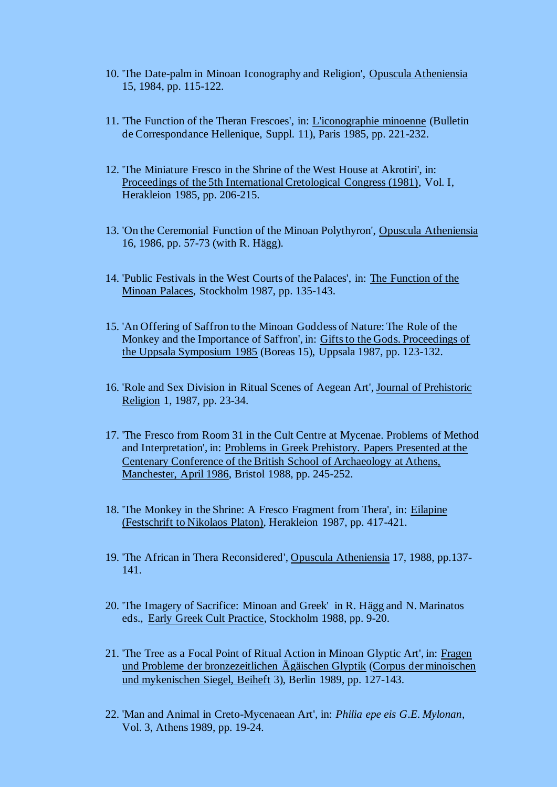- 10. 'The Date-palm in Minoan Iconography and Religion', Opuscula Atheniensia 15, 1984, pp. 115-122.
- 11. 'The Function of the Theran Frescoes', in: L'iconographie minoenne (Bulletin de Correspondance Hellenique, Suppl. 11), Paris 1985, pp. 221-232.
- 12. 'The Miniature Fresco in the Shrine of the West House at Akrotiri', in: Proceedings of the 5th International Cretological Congress (1981), Vol. I, Herakleion 1985, pp. 206-215.
- 13. 'On the Ceremonial Function of the Minoan Polythyron', Opuscula Atheniensia 16, 1986, pp. 57-73 (with R. Hägg).
- 14. 'Public Festivals in the West Courts of the Palaces', in: The Function of the Minoan Palaces, Stockholm 1987, pp. 135-143.
- 15. 'An Offering of Saffron to the Minoan Goddess of Nature: The Role of the Monkey and the Importance of Saffron', in: Gifts to the Gods. Proceedings of the Uppsala Symposium 1985 (Boreas 15), Uppsala 1987, pp. 123-132.
- 16. 'Role and Sex Division in Ritual Scenes of Aegean Art', Journal of Prehistoric Religion 1, 1987, pp. 23-34.
- 17. 'The Fresco from Room 31 in the Cult Centre at Mycenae. Problems of Method and Interpretation', in: Problems in Greek Prehistory. Papers Presented at the Centenary Conference of the British School of Archaeology at Athens, Manchester, April 1986, Bristol 1988, pp. 245-252.
- 18. 'The Monkey in the Shrine: A Fresco Fragment from Thera', in: Eilapine (Festschrift to Nikolaos Platon), Herakleion 1987, pp. 417-421.
- 19. 'The African in Thera Reconsidered', Opuscula Atheniensia 17, 1988, pp.137- 141.
- 20. 'The Imagery of Sacrifice: Minoan and Greek' in R. Hägg and N. Marinatos eds., Early Greek Cult Practice, Stockholm 1988, pp. 9-20.
- 21. 'The Tree as a Focal Point of Ritual Action in Minoan Glyptic Art', in: Fragen und Probleme der bronzezeitlichen Ägäischen Glyptik (Corpus der minoischen und mykenischen Siegel, Beiheft 3), Berlin 1989, pp. 127-143.
- 22. 'Man and Animal in Creto-Mycenaean Art', in: *Philia epe eis G.E. Mylonan*, Vol. 3, Athens 1989, pp. 19-24.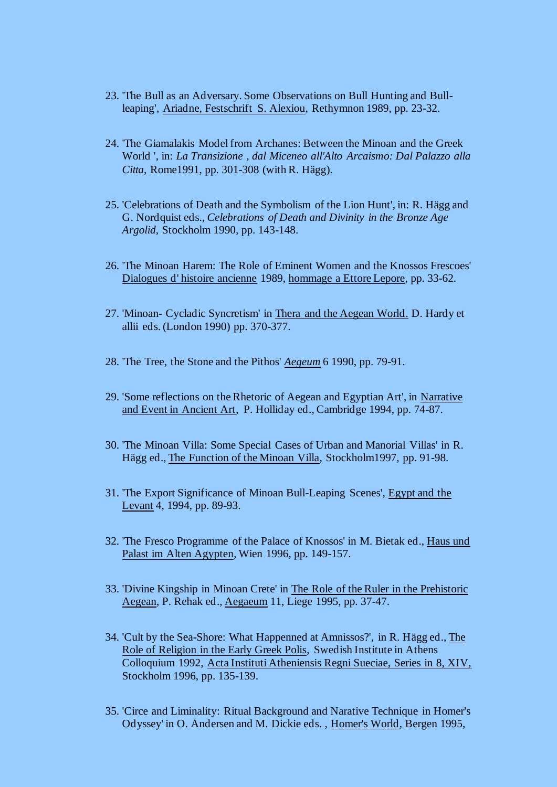- 23. 'The Bull as an Adversary. Some Observations on Bull Hunting and Bullleaping', Ariadne, Festschrift S. Alexiou, Rethymnon 1989, pp. 23-32.
- 24. 'The Giamalakis Model from Archanes: Between the Minoan and the Greek World ', in: *La Transizione , dal Miceneo all'Alto Arcaismo: Dal Palazzo alla Citta*, Rome1991, pp. 301-308 (with R. Hägg).
- 25. 'Celebrations of Death and the Symbolism of the Lion Hunt', in: R. Hägg and G. Nordquist eds., *Celebrations of Death and Divinity in the Bronze Age Argolid,* Stockholm 1990, pp. 143-148.
- 26. 'The Minoan Harem: The Role of Eminent Women and the Knossos Frescoes' Dialogues d' histoire ancienne 1989, hommage a Ettore Lepore, pp. 33-62.
- 27. 'Minoan- Cycladic Syncretism' in Thera and the Aegean World. D. Hardy et allii eds. (London 1990) pp. 370-377.
- 28. 'The Tree, the Stone and the Pithos' *Aegeum* 6 1990, pp. 79-91.
- 29. 'Some reflections on the Rhetoric of Aegean and Egyptian Art', in Narrative and Event in Ancient Art, P. Holliday ed., Cambridge 1994, pp. 74-87.
- 30. 'The Minoan Villa: Some Special Cases of Urban and Manorial Villas' in R. Hägg ed., The Function of the Minoan Villa, Stockholm1997, pp. 91-98.
- 31. 'The Export Significance of Minoan Bull-Leaping Scenes', Egypt and the Levant 4, 1994, pp. 89-93.
- 32. 'The Fresco Programme of the Palace of Knossos' in M. Bietak ed., Haus und Palast im Alten Agypten, Wien 1996, pp. 149-157.
- 33. 'Divine Kingship in Minoan Crete' in The Role of the Ruler in the Prehistoric Aegean, P. Rehak ed., Aegaeum 11, Liege 1995, pp. 37-47.
- 34. 'Cult by the Sea-Shore: What Happenned at Amnissos?', in R. Hägg ed., The Role of Religion in the Early Greek Polis, Swedish Institute in Athens Colloquium 1992, Acta Instituti Atheniensis Regni Sueciae, Series in 8, XIV, Stockholm 1996, pp. 135-139.
- 35. 'Circe and Liminality: Ritual Background and Narative Technique in Homer's Odyssey' in O. Andersen and M. Dickie eds. , Homer's World, Bergen 1995,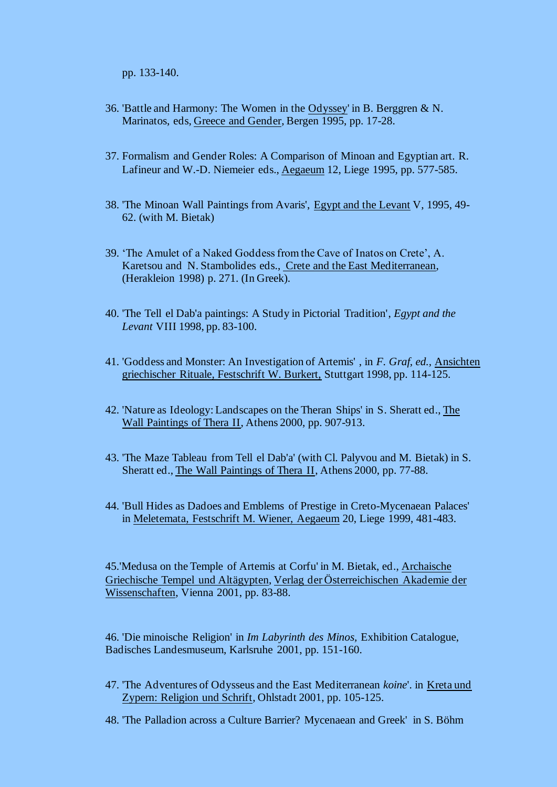pp. 133-140.

- 36. 'Battle and Harmony: The Women in the Odyssey' in B. Berggren & N. Marinatos, eds, Greece and Gender, Bergen 1995, pp. 17-28.
- 37. Formalism and Gender Roles: A Comparison of Minoan and Egyptian art. R. Lafineur and W.-D. Niemeier eds., Aegaeum 12, Liege 1995, pp. 577-585.
- 38. 'The Minoan Wall Paintings from Avaris', Egypt and the Levant V, 1995, 49- 62. (with M. Bietak)
- 39. 'The Amulet of a Naked Goddess from the Cave of Inatos on Crete', A. Karetsou and N. Stambolides eds., Crete and the East Mediterranean, (Herakleion 1998) p. 271. (In Greek).
- 40. 'The Tell el Dab'a paintings: A Study in Pictorial Tradition', *Egypt and the Levant* VIII 1998, pp. 83-100.
- 41. 'Goddess and Monster: An Investigation of Artemis' , in *F. Graf, ed.,* Ansichten griechischer Rituale, Festschrift W. Burkert, Stuttgart 1998, pp. 114-125.
- 42. 'Nature as Ideology: Landscapes on the Theran Ships' in S. Sheratt ed., The Wall Paintings of Thera II, Athens 2000, pp. 907-913.
- 43. 'The Maze Tableau from Tell el Dab'a' (with Cl. Palyvou and M. Bietak) in S. Sheratt ed., The Wall Paintings of Thera II, Athens 2000, pp. 77-88.
- 44. 'Bull Hides as Dadoes and Emblems of Prestige in Creto-Mycenaean Palaces' in Meletemata, Festschrift M. Wiener, Aegaeum 20, Liege 1999, 481-483.

45.'Medusa on the Temple of Artemis at Corfu' in M. Bietak, ed., Archaische Griechische Tempel und Altägypten, Verlag der Österreichischen Akademie der Wissenschaften, Vienna 2001, pp. 83-88.

46. 'Die minoische Religion' in *Im Labyrinth des Minos,* Exhibition Catalogue, Badisches Landesmuseum, Karlsruhe 2001, pp. 151-160.

- 47. 'The Adventures of Odysseus and the East Mediterranean *koine*'. in Kreta und Zypern: Religion und Schrift, Ohlstadt 2001, pp. 105-125.
- 48. 'The Palladion across a Culture Barrier? Mycenaean and Greek' in S. Böhm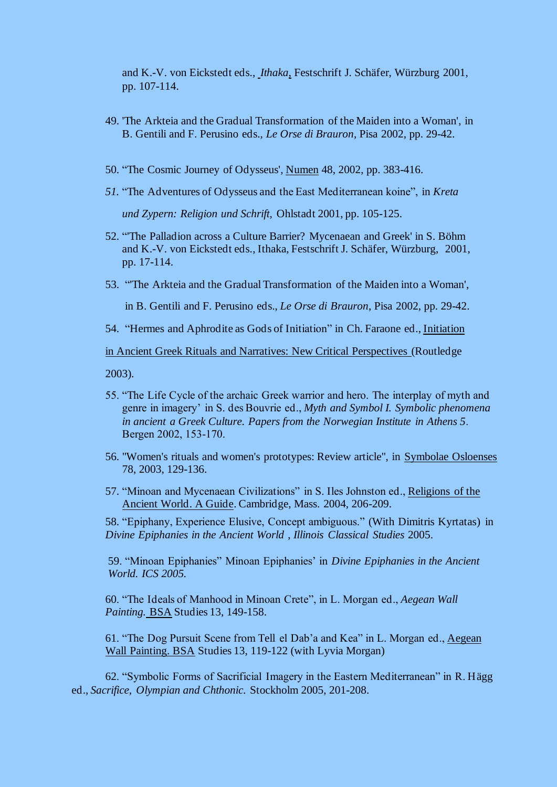and K.-V. von Eickstedt eds., *Ithaka*, Festschrift J. Schäfer, Würzburg 2001, pp. 107-114.

- 49. 'The Arkteia and the Gradual Transformation of the Maiden into a Woman', in B. Gentili and F. Perusino eds., *Le Orse di Brauron*, Pisa 2002, pp. 29-42.
- 50. "The Cosmic Journey of Odysseus', Numen 48, 2002, pp. 383-416.
- *51.* "The Adventures of Odysseus and the East Mediterranean koine", in *Kreta und Zypern: Religion und Schrift*, Ohlstadt 2001, pp. 105-125.
- 52. "'The Palladion across a Culture Barrier? Mycenaean and Greek' in S. Böhm and K.-V. von Eickstedt eds., Ithaka, Festschrift J. Schäfer, Würzburg, 2001, pp. 17-114.
- 53. "'The Arkteia and the Gradual Transformation of the Maiden into a Woman',

in B. Gentili and F. Perusino eds., *Le Orse di Brauron*, Pisa 2002, pp. 29-42.

54. "Hermes and Aphrodite as Gods of Initiation" in Ch. Faraone ed., Initiation

in Ancient Greek Rituals and Narratives: New Critical Perspectives (Routledge

2003).

- 55. "The Life Cycle of the archaic Greek warrior and hero. The interplay of myth and genre in imagery' in S. des Bouvrie ed., *Myth and Symbol I. Symbolic phenomena in ancient a Greek Culture. Papers from the Norwegian Institute in Athens 5.* Bergen 2002, 153-170.
- 56. "Women's rituals and women's prototypes: Review article", in Symbolae Osloenses 78, 2003, 129-136.
- 57. "Minoan and Mycenaean Civilizations" in S. Iles Johnston ed., Religions of the Ancient World. A Guide. Cambridge, Mass. 2004, 206-209.

58. "Epiphany, Experience Elusive, Concept ambiguous." (With Dimitris Kyrtatas) in *Divine Epiphanies in the Ancient World* , *Illinois Classical Studies* 2005.

59. "Minoan Epiphanies" Minoan Epiphanies' in *Divine Epiphanies in the Ancient World. ICS 2005.*

60. "The Ideals of Manhood in Minoan Crete", in L. Morgan ed., *Aegean Wall Painting.* BSA Studies 13, 149-158.

61. "The Dog Pursuit Scene from Tell el Dab'a and Kea" in L. Morgan ed., Aegean Wall Painting. BSA Studies 13, 119-122 (with Lyvia Morgan)

62. "Symbolic Forms of Sacrificial Imagery in the Eastern Mediterranean" in R. Hägg ed., *Sacrifice, Olympian and Chthonic.* Stockholm 2005, 201-208.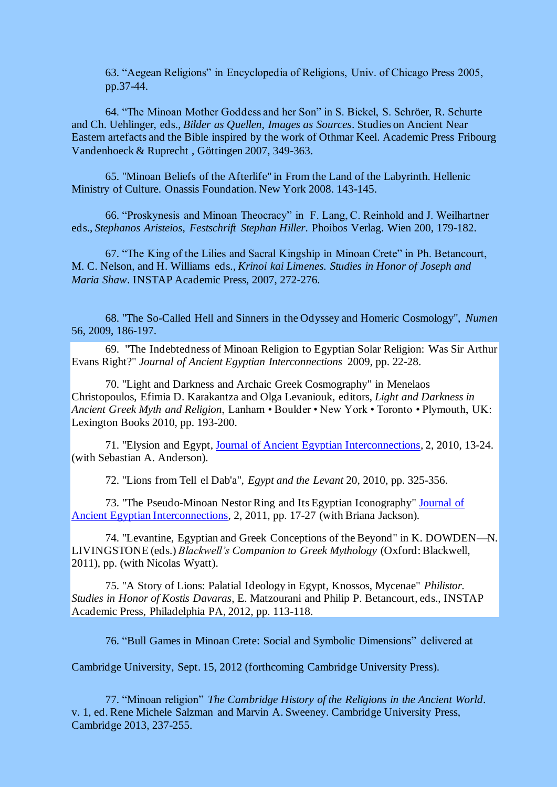63. "Aegean Religions" in Encyclopedia of Religions, Univ. of Chicago Press 2005, pp.37-44.

64. "The Minoan Mother Goddess and her Son" in S. Bickel, S. Schröer, R. Schurte and Ch. Uehlinger, eds., *Bilder as Quellen, Images as Sources*. Studies on Ancient Near Eastern artefacts and the Bible inspired by the work of Othmar Keel. Academic Press Fribourg Vandenhoeck & Ruprecht , Göttingen 2007, 349-363.

65. "Minoan Beliefs of the Afterlife" in From the Land of the Labyrinth. Hellenic Ministry of Culture. Onassis Foundation. New York 2008. 143-145.

66. "Proskynesis and Minoan Theocracy" in F. Lang, C. Reinhold and J. Weilhartner eds., *Stephanos Aristeios*, *Festschrift Stephan Hiller*. Phoibos Verlag. Wien 200, 179-182.

67. "The King of the Lilies and Sacral Kingship in Minoan Crete" in Ph. Betancourt, M. C. Nelson, and H. Williams eds., *Krinoi kai Limenes. Studies in Honor of Joseph and Maria Shaw*. INSTAP Academic Press, 2007, 272-276.

68. "The So-Called Hell and Sinners in the Odyssey and Homeric Cosmology", *Numen* 56, 2009, 186-197.

69. "The Indebtedness of Minoan Religion to Egyptian Solar Religion: Was Sir Arthur Evans Right?" *Journal of Ancient Egyptian Interconnections* 2009, pp. 22-28.

70. "Light and Darkness and Archaic Greek Cosmography" in Menelaos Christopoulos, Efimia D. Karakantza and Olga Levaniouk, editors, *Light and Darkness in Ancient Greek Myth and Religion*, Lanham • Boulder • New York • Toronto • Plymouth, UK: Lexington Books 2010, pp. 193-200.

71. "Elysion and Egypt, Journal of Ancient Egyptian Interconnections, 2, 2010, 13-24. (with Sebastian A. Anderson).

72. "Lions from Tell el Dab'a", *Egypt and the Levant* 20, 2010, pp. 325-356.

73. "The Pseudo-Minoan Nestor Ring and Its Egyptian Iconography" Journal of Ancient Egyptian Interconnections, 2, 2011, pp. 17-27 (with Briana Jackson).

74. "Levantine, Egyptian and Greek Conceptions of the Beyond" in K. DOWDEN—N. LIVINGSTONE (eds.) *Blackwell's Companion to Greek Mythology* (Oxford: Blackwell, 2011), pp. (with Nicolas Wyatt).

75. "A Story of Lions: Palatial Ideology in Egypt, Knossos, Mycenae" *Philistor. Studies in Honor of Kostis Davaras*, E. Matzourani and Philip P. Betancourt, eds., INSTAP Academic Press, Philadelphia PA, 2012, pp. 113-118.

76. "Bull Games in Minoan Crete: Social and Symbolic Dimensions" delivered at

Cambridge University, Sept. 15, 2012 (forthcoming Cambridge University Press).

77. "Minoan religion" *The Cambridge History of the Religions in the Ancient World*. v. 1, ed. Rene Michele Salzman and Marvin A. Sweeney. Cambridge University Press, Cambridge 2013, 237-255.